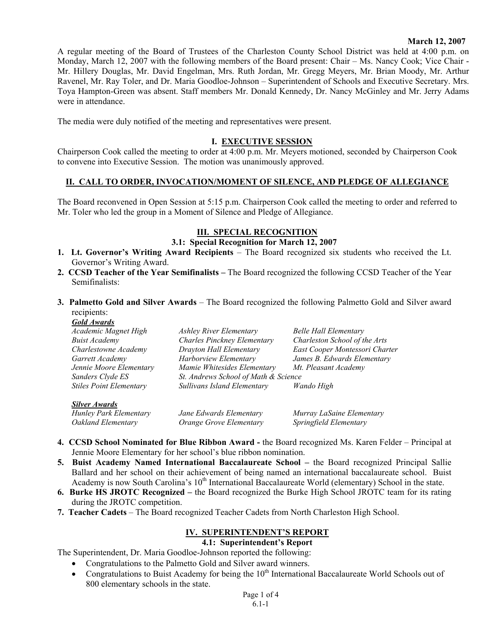#### **March 12, 2007**

A regular meeting of the Board of Trustees of the Charleston County School District was held at 4:00 p.m. on Monday, March 12, 2007 with the following members of the Board present: Chair – Ms. Nancy Cook; Vice Chair - Mr. Hillery Douglas, Mr. David Engelman, Mrs. Ruth Jordan, Mr. Gregg Meyers, Mr. Brian Moody, Mr. Arthur Ravenel, Mr. Ray Toler, and Dr. Maria Goodloe-Johnson – Superintendent of Schools and Executive Secretary. Mrs. Toya Hampton-Green was absent. Staff members Mr. Donald Kennedy, Dr. Nancy McGinley and Mr. Jerry Adams were in attendance.

The media were duly notified of the meeting and representatives were present.

#### **I. EXECUTIVE SESSION**

Chairperson Cook called the meeting to order at 4:00 p.m. Mr. Meyers motioned, seconded by Chairperson Cook to convene into Executive Session. The motion was unanimously approved.

### **II. CALL TO ORDER, INVOCATION/MOMENT OF SILENCE, AND PLEDGE OF ALLEGIANCE**

The Board reconvened in Open Session at 5:15 p.m. Chairperson Cook called the meeting to order and referred to Mr. Toler who led the group in a Moment of Silence and Pledge of Allegiance.

#### **III. SPECIAL RECOGNITION**

#### **3.1: Special Recognition for March 12, 2007**

- **1. Lt. Governor's Writing Award Recipients**  The Board recognized six students who received the Lt. Governor's Writing Award.
- **2. CCSD Teacher of the Year Semifinalists** The Board recognized the following CCSD Teacher of the Year Semifinalists:
- **3. Palmetto Gold and Silver Awards**  The Board recognized the following Palmetto Gold and Silver award recipients: *Gold Awards*

| <i><b>GUIA AWARAS</b></i>      |                                      |                                |
|--------------------------------|--------------------------------------|--------------------------------|
| Academic Magnet High           | <b>Ashley River Elementary</b>       | <b>Belle Hall Elementary</b>   |
| <b>Buist Academy</b>           | Charles Pinckney Elementary          | Charleston School of the Arts  |
| Charlestowne Academy           | Drayton Hall Elementary              | East Cooper Montessori Charter |
| Garrett Academy                | Harborview Elementary                | James B. Edwards Elementary    |
| Jennie Moore Elementary        | Mamie Whitesides Elementary          | Mt. Pleasant Academy           |
| Sanders Clyde ES               | St. Andrews School of Math & Science |                                |
| <b>Stiles Point Elementary</b> | Sullivans Island Elementary          | Wando High                     |
| <b>Silver Awards</b>           |                                      |                                |
| Hunley Park Elementary         | Jane Edwards Elementary              | Murray LaSaine Elementary      |

*Oakland Elementary Orange Grove Elementary Springfield Elementary* 

- **4. CCSD School Nominated for Blue Ribbon Award** the Board recognized Ms. Karen Felder Principal at Jennie Moore Elementary for her school's blue ribbon nomination.
- **5. Buist Academy Named International Baccalaureate School** the Board recognized Principal Sallie Ballard and her school on their achievement of being named an international baccalaureate school. Buist Academy is now South Carolina's 10<sup>th</sup> International Baccalaureate World (elementary) School in the state.
- **6. Burke HS JROTC Recognized** the Board recognized the Burke High School JROTC team for its rating during the JROTC competition.
- **7. Teacher Cadets** The Board recognized Teacher Cadets from North Charleston High School.

## **IV. SUPERINTENDENT'S REPORT**

# **4.1: Superintendent's Report**

The Superintendent, Dr. Maria Goodloe-Johnson reported the following:

- Congratulations to the Palmetto Gold and Silver award winners.
- Congratulations to Buist Academy for being the  $10<sup>th</sup>$  International Baccalaureate World Schools out of 800 elementary schools in the state.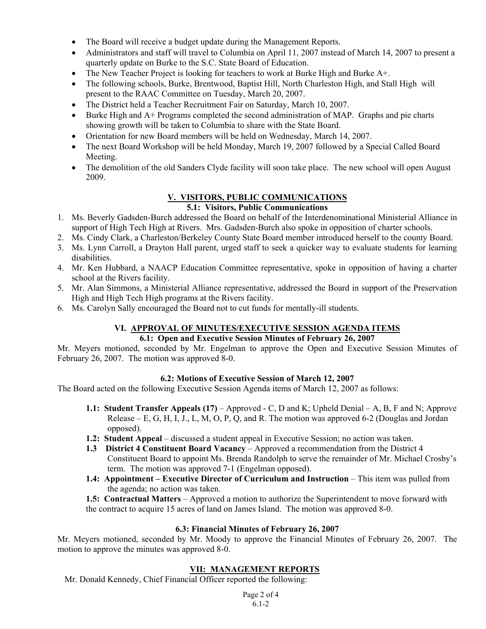- The Board will receive a budget update during the Management Reports.
- Administrators and staff will travel to Columbia on April 11, 2007 instead of March 14, 2007 to present a quarterly update on Burke to the S.C. State Board of Education.
- The New Teacher Project is looking for teachers to work at Burke High and Burke A+.
- The following schools, Burke, Brentwood, Baptist Hill, North Charleston High, and Stall High will present to the RAAC Committee on Tuesday, March 20, 2007.
- The District held a Teacher Recruitment Fair on Saturday, March 10, 2007.
- Burke High and A+ Programs completed the second administration of MAP. Graphs and pie charts showing growth will be taken to Columbia to share with the State Board.
- Orientation for new Board members will be held on Wednesday, March 14, 2007.
- The next Board Workshop will be held Monday, March 19, 2007 followed by a Special Called Board Meeting.
- The demolition of the old Sanders Clyde facility will soon take place. The new school will open August 2009.

# **V. VISITORS, PUBLIC COMMUNICATIONS**

## **5.1: Visitors, Public Communications**

- 1. Ms. Beverly Gadsden-Burch addressed the Board on behalf of the Interdenominational Ministerial Alliance in support of High Tech High at Rivers. Mrs. Gadsden-Burch also spoke in opposition of charter schools.
- 2. Ms. Cindy Clark, a Charleston/Berkeley County State Board member introduced herself to the county Board.
- 3. Ms. Lynn Carroll, a Drayton Hall parent, urged staff to seek a quicker way to evaluate students for learning disabilities.
- 4. Mr. Ken Hubbard, a NAACP Education Committee representative, spoke in opposition of having a charter school at the Rivers facility.
- 5. Mr. Alan Simmons, a Ministerial Alliance representative, addressed the Board in support of the Preservation High and High Tech High programs at the Rivers facility.
- 6. Ms. Carolyn Sally encouraged the Board not to cut funds for mentally-ill students.

#### **VI. APPROVAL OF MINUTES/EXECUTIVE SESSION AGENDA ITEMS 6.1: Open and Executive Session Minutes of February 26, 2007**

Mr. Meyers motioned, seconded by Mr. Engelman to approve the Open and Executive Session Minutes of February 26, 2007. The motion was approved 8-0.

## **6.2: Motions of Executive Session of March 12, 2007**

The Board acted on the following Executive Session Agenda items of March 12, 2007 as follows:

- **1.1: Student Transfer Appeals (17)** Approved C, D and K; Upheld Denial A, B, F and N; Approve Release – E, G, H, I, J., L, M, O, P, Q, and R. The motion was approved 6-2 (Douglas and Jordan opposed).
- **1.2: Student Appeal** discussed a student appeal in Executive Session; no action was taken.
- **1.3 District 4 Constituent Board Vacancy** Approved a recommendation from the District 4 Constituent Board to appoint Ms. Brenda Randolph to serve the remainder of Mr. Michael Crosby's term. The motion was approved 7-1 (Engelman opposed).
- **1.4: Appointment Executive Director of Curriculum and Instruction** This item was pulled from the agenda; no action was taken.

**1.5: Contractual Matters** – Approved a motion to authorize the Superintendent to move forward with the contract to acquire 15 acres of land on James Island. The motion was approved 8-0.

## **6.3: Financial Minutes of February 26, 2007**

Mr. Meyers motioned, seconded by Mr. Moody to approve the Financial Minutes of February 26, 2007. The motion to approve the minutes was approved 8-0.

#### **VII: MANAGEMENT REPORTS**

Mr. Donald Kennedy, Chief Financial Officer reported the following: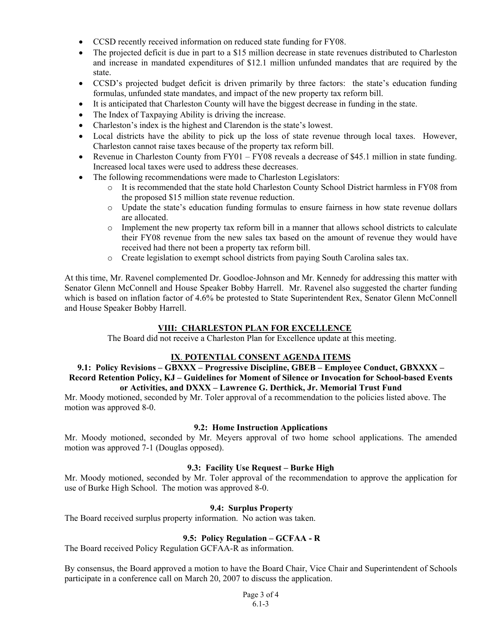- CCSD recently received information on reduced state funding for FY08.
- The projected deficit is due in part to a \$15 million decrease in state revenues distributed to Charleston and increase in mandated expenditures of \$12.1 million unfunded mandates that are required by the state.
- CCSD's projected budget deficit is driven primarily by three factors: the state's education funding formulas, unfunded state mandates, and impact of the new property tax reform bill.
- It is anticipated that Charleston County will have the biggest decrease in funding in the state.
- The Index of Taxpaying Ability is driving the increase.
- Charleston's index is the highest and Clarendon is the state's lowest.
- Local districts have the ability to pick up the loss of state revenue through local taxes. However, Charleston cannot raise taxes because of the property tax reform bill.
- Revenue in Charleston County from FY01 FY08 reveals a decrease of \$45.1 million in state funding. Increased local taxes were used to address these decreases.
- The following recommendations were made to Charleston Legislators:
	- o It is recommended that the state hold Charleston County School District harmless in FY08 from the proposed \$15 million state revenue reduction.
	- o Update the state's education funding formulas to ensure fairness in how state revenue dollars are allocated.
	- o Implement the new property tax reform bill in a manner that allows school districts to calculate their FY08 revenue from the new sales tax based on the amount of revenue they would have received had there not been a property tax reform bill.
	- o Create legislation to exempt school districts from paying South Carolina sales tax.

At this time, Mr. Ravenel complemented Dr. Goodloe-Johnson and Mr. Kennedy for addressing this matter with Senator Glenn McConnell and House Speaker Bobby Harrell. Mr. Ravenel also suggested the charter funding which is based on inflation factor of 4.6% be protested to State Superintendent Rex, Senator Glenn McConnell and House Speaker Bobby Harrell.

## **VIII: CHARLESTON PLAN FOR EXCELLENCE**

The Board did not receive a Charleston Plan for Excellence update at this meeting.

#### **IX**. **POTENTIAL CONSENT AGENDA ITEMS**

#### **9.1: Policy Revisions – GBXXX – Progressive Discipline, GBEB – Employee Conduct, GBXXXX – Record Retention Policy, KJ – Guidelines for Moment of Silence or Invocation for School-based Events or Activities, and DXXX – Lawrence G. Derthick, Jr. Memorial Trust Fund**

Mr. Moody motioned, seconded by Mr. Toler approval of a recommendation to the policies listed above. The motion was approved 8-0.

#### **9.2: Home Instruction Applications**

Mr. Moody motioned, seconded by Mr. Meyers approval of two home school applications. The amended motion was approved 7-1 (Douglas opposed).

#### **9.3: Facility Use Request – Burke High**

Mr. Moody motioned, seconded by Mr. Toler approval of the recommendation to approve the application for use of Burke High School. The motion was approved 8-0.

#### **9.4: Surplus Property**

The Board received surplus property information. No action was taken.

#### **9.5: Policy Regulation – GCFAA - R**

The Board received Policy Regulation GCFAA-R as information.

By consensus, the Board approved a motion to have the Board Chair, Vice Chair and Superintendent of Schools participate in a conference call on March 20, 2007 to discuss the application.